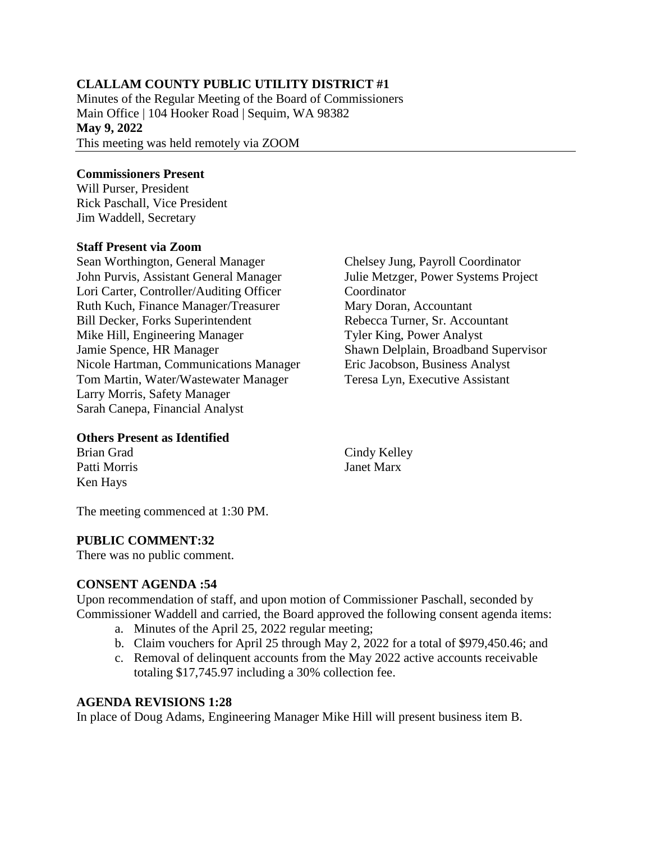## **CLALLAM COUNTY PUBLIC UTILITY DISTRICT #1**

Minutes of the Regular Meeting of the Board of Commissioners Main Office | 104 Hooker Road | Sequim, WA 98382 **May 9, 2022** This meeting was held remotely via ZOOM

### **Commissioners Present**

Will Purser, President Rick Paschall, Vice President Jim Waddell, Secretary

### **Staff Present via Zoom**

Sean Worthington, General Manager John Purvis, Assistant General Manager Lori Carter, Controller/Auditing Officer Ruth Kuch, Finance Manager/Treasurer Bill Decker, Forks Superintendent Mike Hill, Engineering Manager Jamie Spence, HR Manager Nicole Hartman, Communications Manager Tom Martin, Water/Wastewater Manager Larry Morris, Safety Manager Sarah Canepa, Financial Analyst

### **Others Present as Identified**

Brian Grad Patti Morris Ken Hays

Cindy Kelley Janet Marx

The meeting commenced at 1:30 PM.

### **PUBLIC COMMENT:32**

There was no public comment.

### **CONSENT AGENDA :54**

Upon recommendation of staff, and upon motion of Commissioner Paschall, seconded by Commissioner Waddell and carried, the Board approved the following consent agenda items:

- a. Minutes of the April 25, 2022 regular meeting;
- b. Claim vouchers for April 25 through May 2, 2022 for a total of \$979,450.46; and
- c. Removal of delinquent accounts from the May 2022 active accounts receivable totaling \$17,745.97 including a 30% collection fee.

### **AGENDA REVISIONS 1:28**

In place of Doug Adams, Engineering Manager Mike Hill will present business item B.

Julie Metzger, Power Systems Project **Coordinator** Mary Doran, Accountant Rebecca Turner, Sr. Accountant Tyler King, Power Analyst Shawn Delplain, Broadband Supervisor Eric Jacobson, Business Analyst Teresa Lyn, Executive Assistant

Chelsey Jung, Payroll Coordinator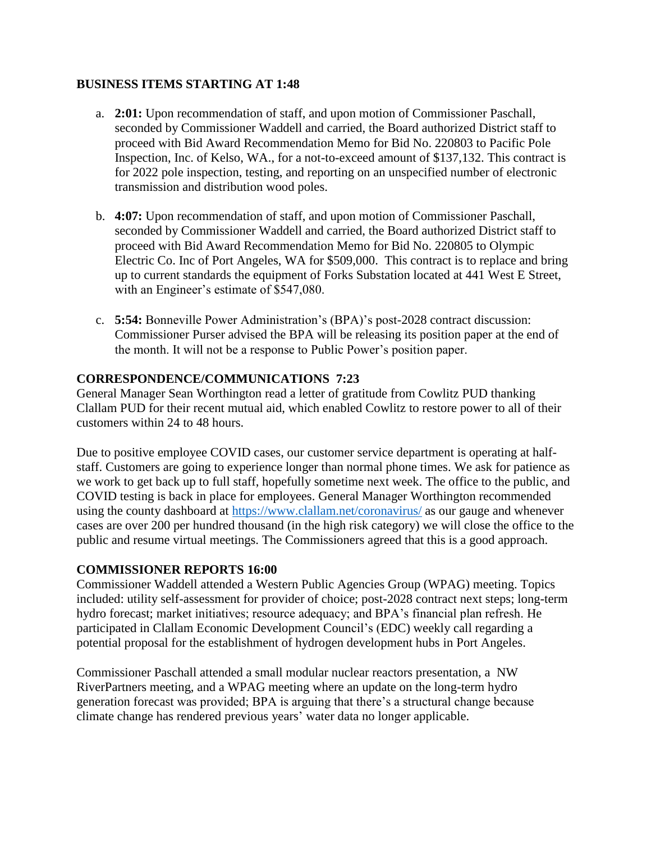### **BUSINESS ITEMS STARTING AT 1:48**

- a. **2:01:** Upon recommendation of staff, and upon motion of Commissioner Paschall, seconded by Commissioner Waddell and carried, the Board authorized District staff to proceed with Bid Award Recommendation Memo for Bid No. 220803 to Pacific Pole Inspection, Inc. of Kelso, WA., for a not-to-exceed amount of \$137,132. This contract is for 2022 pole inspection, testing, and reporting on an unspecified number of electronic transmission and distribution wood poles.
- b. **4:07:** Upon recommendation of staff, and upon motion of Commissioner Paschall, seconded by Commissioner Waddell and carried, the Board authorized District staff to proceed with Bid Award Recommendation Memo for Bid No. 220805 to Olympic Electric Co. Inc of Port Angeles, WA for \$509,000. This contract is to replace and bring up to current standards the equipment of Forks Substation located at 441 West E Street, with an Engineer's estimate of \$547,080.
- c. **5:54:** Bonneville Power Administration's (BPA)'s post-2028 contract discussion: Commissioner Purser advised the BPA will be releasing its position paper at the end of the month. It will not be a response to Public Power's position paper.

### **CORRESPONDENCE/COMMUNICATIONS 7:23**

General Manager Sean Worthington read a letter of gratitude from Cowlitz PUD thanking Clallam PUD for their recent mutual aid, which enabled Cowlitz to restore power to all of their customers within 24 to 48 hours.

Due to positive employee COVID cases, our customer service department is operating at halfstaff. Customers are going to experience longer than normal phone times. We ask for patience as we work to get back up to full staff, hopefully sometime next week. The office to the public, and COVID testing is back in place for employees. General Manager Worthington recommended using the county dashboard at<https://www.clallam.net/coronavirus/> as our gauge and whenever cases are over 200 per hundred thousand (in the high risk category) we will close the office to the public and resume virtual meetings. The Commissioners agreed that this is a good approach.

### **COMMISSIONER REPORTS 16:00**

Commissioner Waddell attended a Western Public Agencies Group (WPAG) meeting. Topics included: utility self-assessment for provider of choice; post-2028 contract next steps; long-term hydro forecast; market initiatives; resource adequacy; and BPA's financial plan refresh. He participated in Clallam Economic Development Council's (EDC) weekly call regarding a potential proposal for the establishment of hydrogen development hubs in Port Angeles.

Commissioner Paschall attended a small modular nuclear reactors presentation, a NW RiverPartners meeting, and a WPAG meeting where an update on the long-term hydro generation forecast was provided; BPA is arguing that there's a structural change because climate change has rendered previous years' water data no longer applicable.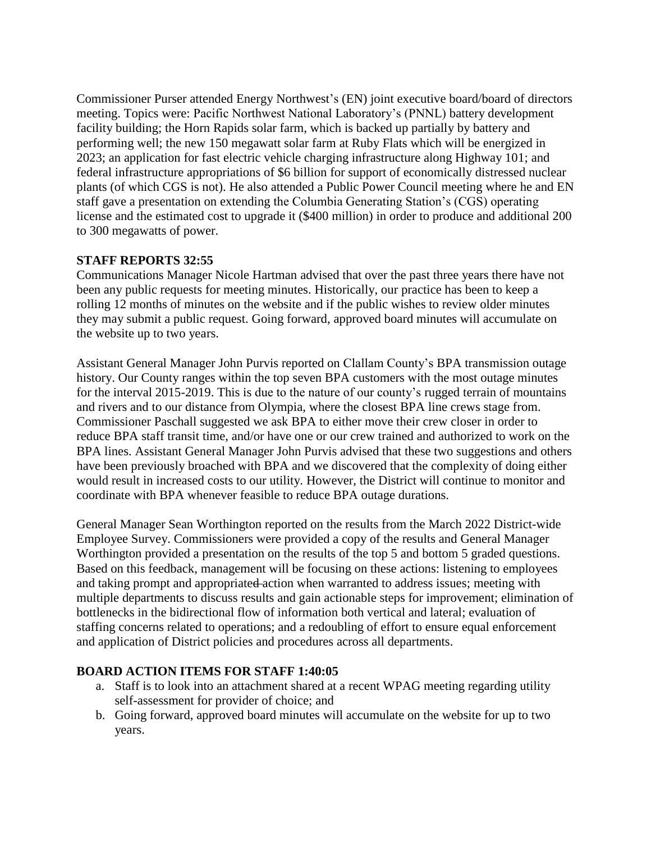Commissioner Purser attended Energy Northwest's (EN) joint executive board/board of directors meeting. Topics were: Pacific Northwest National Laboratory's (PNNL) battery development facility building; the Horn Rapids solar farm, which is backed up partially by battery and performing well; the new 150 megawatt solar farm at Ruby Flats which will be energized in 2023; an application for fast electric vehicle charging infrastructure along Highway 101; and federal infrastructure appropriations of \$6 billion for support of economically distressed nuclear plants (of which CGS is not). He also attended a Public Power Council meeting where he and EN staff gave a presentation on extending the Columbia Generating Station's (CGS) operating license and the estimated cost to upgrade it (\$400 million) in order to produce and additional 200 to 300 megawatts of power.

# **STAFF REPORTS 32:55**

Communications Manager Nicole Hartman advised that over the past three years there have not been any public requests for meeting minutes. Historically, our practice has been to keep a rolling 12 months of minutes on the website and if the public wishes to review older minutes they may submit a public request. Going forward, approved board minutes will accumulate on the website up to two years.

Assistant General Manager John Purvis reported on Clallam County's BPA transmission outage history. Our County ranges within the top seven BPA customers with the most outage minutes for the interval 2015-2019. This is due to the nature of our county's rugged terrain of mountains and rivers and to our distance from Olympia, where the closest BPA line crews stage from. Commissioner Paschall suggested we ask BPA to either move their crew closer in order to reduce BPA staff transit time, and/or have one or our crew trained and authorized to work on the BPA lines. Assistant General Manager John Purvis advised that these two suggestions and others have been previously broached with BPA and we discovered that the complexity of doing either would result in increased costs to our utility. However, the District will continue to monitor and coordinate with BPA whenever feasible to reduce BPA outage durations.

General Manager Sean Worthington reported on the results from the March 2022 District-wide Employee Survey. Commissioners were provided a copy of the results and General Manager Worthington provided a presentation on the results of the top 5 and bottom 5 graded questions. Based on this feedback, management will be focusing on these actions: listening to employees and taking prompt and appropriated action when warranted to address issues; meeting with multiple departments to discuss results and gain actionable steps for improvement; elimination of bottlenecks in the bidirectional flow of information both vertical and lateral; evaluation of staffing concerns related to operations; and a redoubling of effort to ensure equal enforcement and application of District policies and procedures across all departments.

# **BOARD ACTION ITEMS FOR STAFF 1:40:05**

- a. Staff is to look into an attachment shared at a recent WPAG meeting regarding utility self-assessment for provider of choice; and
- b. Going forward, approved board minutes will accumulate on the website for up to two years.